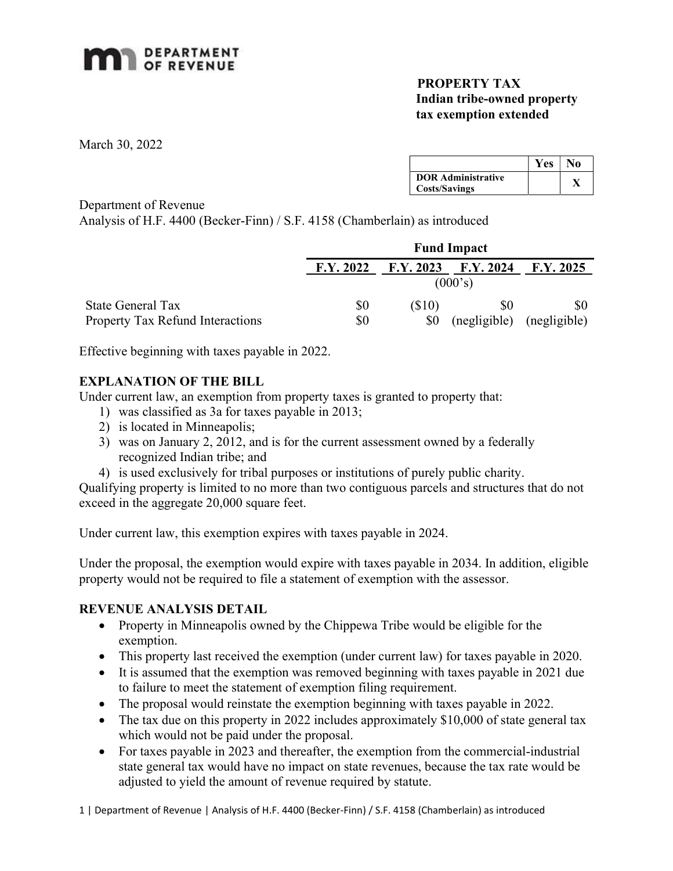

## PROPERTY TAX Indian tribe-owned property tax exemption extended

March 30, 2022

|                           | Yes | No |
|---------------------------|-----|----|
| <b>DOR Administrative</b> |     |    |
| <b>Costs/Savings</b>      |     |    |

Department of Revenue

Analysis of H.F. 4400 (Becker-Finn) / S.F. 4158 (Chamberlain) as introduced

|                                         | <b>Fund Impact</b> |           |              |              |
|-----------------------------------------|--------------------|-----------|--------------|--------------|
|                                         | F.Y. 2022          | F.Y. 2023 | F.Y. 2024    | F.Y. 2025    |
|                                         |                    |           | (000's)      |              |
| State General Tax                       | \$0                | (S10)     | \$0          | \$0          |
| <b>Property Tax Refund Interactions</b> | \$0                | \$0       | (negligible) | (negligible) |

Effective beginning with taxes payable in 2022.

## EXPLANATION OF THE BILL

Under current law, an exemption from property taxes is granted to property that:

- 1) was classified as 3a for taxes payable in 2013;
- 2) is located in Minneapolis;
- 3) was on January 2, 2012, and is for the current assessment owned by a federally recognized Indian tribe; and
- 4) is used exclusively for tribal purposes or institutions of purely public charity.

Qualifying property is limited to no more than two contiguous parcels and structures that do not exceed in the aggregate 20,000 square feet.

Under current law, this exemption expires with taxes payable in 2024.

Under the proposal, the exemption would expire with taxes payable in 2034. In addition, eligible property would not be required to file a statement of exemption with the assessor.

## REVENUE ANALYSIS DETAIL

- Property in Minneapolis owned by the Chippewa Tribe would be eligible for the exemption.
- This property last received the exemption (under current law) for taxes payable in 2020.
- It is assumed that the exemption was removed beginning with taxes payable in 2021 due to failure to meet the statement of exemption filing requirement.
- The proposal would reinstate the exemption beginning with taxes payable in 2022.
- The tax due on this property in 2022 includes approximately \$10,000 of state general tax which would not be paid under the proposal.
- For taxes payable in 2023 and thereafter, the exemption from the commercial-industrial state general tax would have no impact on state revenues, because the tax rate would be adjusted to yield the amount of revenue required by statute.

1 | Department of Revenue | Analysis of H.F. 4400 (Becker-Finn) / S.F. 4158 (Chamberlain) as introduced